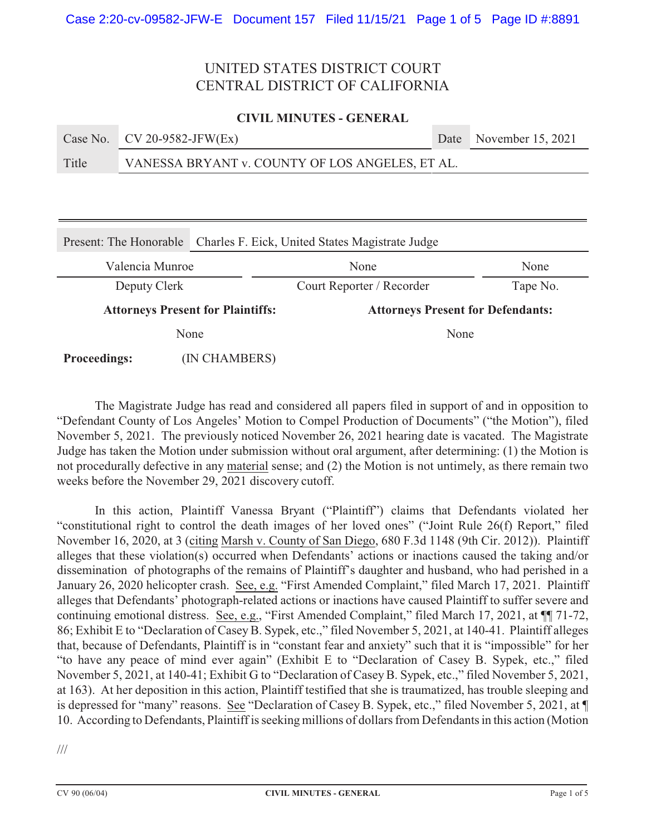## **CIVIL MINUTES - GENERAL**

|       | Case No. $CV 20-9582-JFW(EX)$                   | Date November 15, 2021 |
|-------|-------------------------------------------------|------------------------|
| Title | VANESSA BRYANT v. COUNTY OF LOS ANGELES, ET AL. |                        |

| Present: The Honorable                   |               | Charles F. Eick, United States Magistrate Judge |          |  |
|------------------------------------------|---------------|-------------------------------------------------|----------|--|
| Valencia Munroe                          |               | None                                            | None     |  |
| Deputy Clerk                             |               | Court Reporter / Recorder                       | Tape No. |  |
| <b>Attorneys Present for Plaintiffs:</b> |               | <b>Attorneys Present for Defendants:</b>        |          |  |
| None                                     |               | None                                            |          |  |
| <b>Proceedings:</b>                      | (IN CHAMBERS) |                                                 |          |  |

The Magistrate Judge has read and considered all papers filed in support of and in opposition to "Defendant County of Los Angeles' Motion to Compel Production of Documents" ("the Motion"), filed November 5, 2021. The previously noticed November 26, 2021 hearing date is vacated. The Magistrate Judge has taken the Motion under submission without oral argument, after determining: (1) the Motion is not procedurally defective in any material sense; and (2) the Motion is not untimely, as there remain two weeks before the November 29, 2021 discovery cutoff.

In this action, Plaintiff Vanessa Bryant ("Plaintiff") claims that Defendants violated her "constitutional right to control the death images of her loved ones" ("Joint Rule 26(f) Report," filed November 16, 2020, at 3 (citing Marsh v. County of San Diego, 680 F.3d 1148 (9th Cir. 2012)). Plaintiff alleges that these violation(s) occurred when Defendants' actions or inactions caused the taking and/or dissemination of photographs of the remains of Plaintiff's daughter and husband, who had perished in a January 26, 2020 helicopter crash. See, e.g. "First Amended Complaint," filed March 17, 2021. Plaintiff alleges that Defendants' photograph-related actions or inactions have caused Plaintiff to suffer severe and continuing emotional distress. See, e.g., "First Amended Complaint," filed March 17, 2021, at ¶¶ 71-72, 86; Exhibit E to "Declaration of Casey B. Sypek, etc.," filed November 5, 2021, at 140-41. Plaintiff alleges that, because of Defendants, Plaintiff is in "constant fear and anxiety" such that it is "impossible" for her "to have any peace of mind ever again" (Exhibit E to "Declaration of Casey B. Sypek, etc.," filed November 5, 2021, at 140-41; Exhibit G to "Declaration of Casey B. Sypek, etc.," filed November 5, 2021, at 163). At her deposition in this action, Plaintiff testified that she is traumatized, has trouble sleeping and is depressed for "many" reasons. See "Declaration of Casey B. Sypek, etc.," filed November 5, 2021, at ¶ 10. According to Defendants, Plaintiff is seeking millions of dollars from Defendants in this action (Motion

///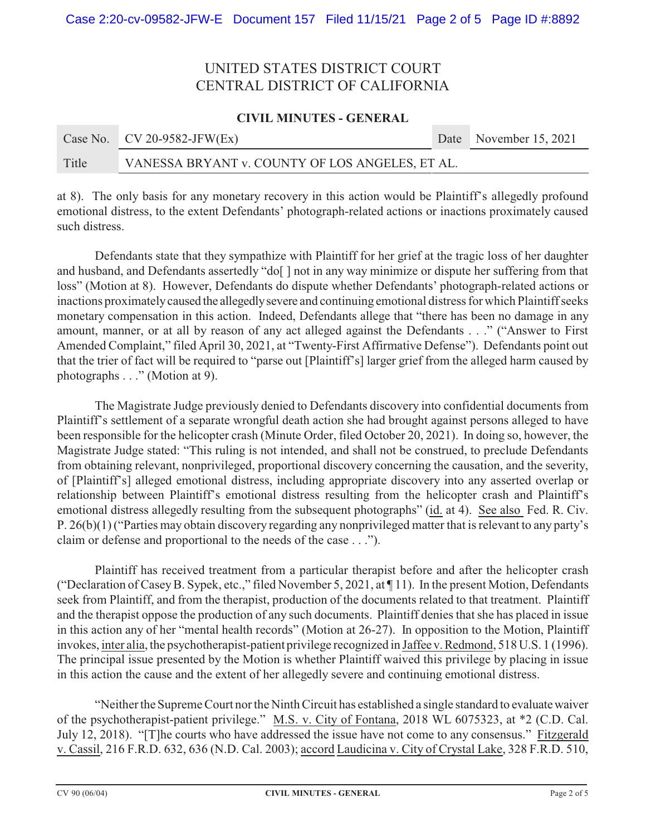## **CIVIL MINUTES - GENERAL**

|       | Case No. $CV 20-9582-JFW(EX)$                   |  | Date November 15, 2021 |
|-------|-------------------------------------------------|--|------------------------|
| Title | VANESSA BRYANT v. COUNTY OF LOS ANGELES, ET AL. |  |                        |

at 8). The only basis for any monetary recovery in this action would be Plaintiff's allegedly profound emotional distress, to the extent Defendants' photograph-related actions or inactions proximately caused such distress.

Defendants state that they sympathize with Plaintiff for her grief at the tragic loss of her daughter and husband, and Defendants assertedly "do[ ] not in any way minimize or dispute her suffering from that loss" (Motion at 8). However, Defendants do dispute whether Defendants' photograph-related actions or inactions proximately caused the allegedly severe and continuing emotional distress for which Plaintiff seeks monetary compensation in this action. Indeed, Defendants allege that "there has been no damage in any amount, manner, or at all by reason of any act alleged against the Defendants . . ." ("Answer to First Amended Complaint," filed April 30, 2021, at "Twenty-First Affirmative Defense"). Defendants point out that the trier of fact will be required to "parse out [Plaintiff's] larger grief from the alleged harm caused by photographs . . ." (Motion at 9).

The Magistrate Judge previously denied to Defendants discovery into confidential documents from Plaintiff's settlement of a separate wrongful death action she had brought against persons alleged to have been responsible for the helicopter crash (Minute Order, filed October 20, 2021). In doing so, however, the Magistrate Judge stated: "This ruling is not intended, and shall not be construed, to preclude Defendants from obtaining relevant, nonprivileged, proportional discovery concerning the causation, and the severity, of [Plaintiff's] alleged emotional distress, including appropriate discovery into any asserted overlap or relationship between Plaintiff's emotional distress resulting from the helicopter crash and Plaintiff's emotional distress allegedly resulting from the subsequent photographs" (id. at 4). See also Fed. R. Civ. P. 26(b)(1) ("Parties may obtain discovery regarding any nonprivileged matter that is relevant to any party's claim or defense and proportional to the needs of the case . . .").

Plaintiff has received treatment from a particular therapist before and after the helicopter crash ("Declaration of Casey B. Sypek, etc.," filed November 5, 2021, at ¶ 11). In the present Motion, Defendants seek from Plaintiff, and from the therapist, production of the documents related to that treatment. Plaintiff and the therapist oppose the production of any such documents. Plaintiff denies that she has placed in issue in this action any of her "mental health records" (Motion at 26-27). In opposition to the Motion, Plaintiff invokes, inter alia, the psychotherapist-patient privilege recognized in Jaffee v. Redmond, 518 U.S. 1 (1996). The principal issue presented by the Motion is whether Plaintiff waived this privilege by placing in issue in this action the cause and the extent of her allegedly severe and continuing emotional distress.

"Neither the Supreme Court nor the Ninth Circuit has established a single standard to evaluate waiver of the psychotherapist-patient privilege." M.S. v. City of Fontana, 2018 WL 6075323, at \*2 (C.D. Cal. July 12, 2018). "[T]he courts who have addressed the issue have not come to any consensus." Fitzgerald v. Cassil, 216 F.R.D. 632, 636 (N.D. Cal. 2003); accord Laudicina v. City of Crystal Lake, 328 F.R.D. 510,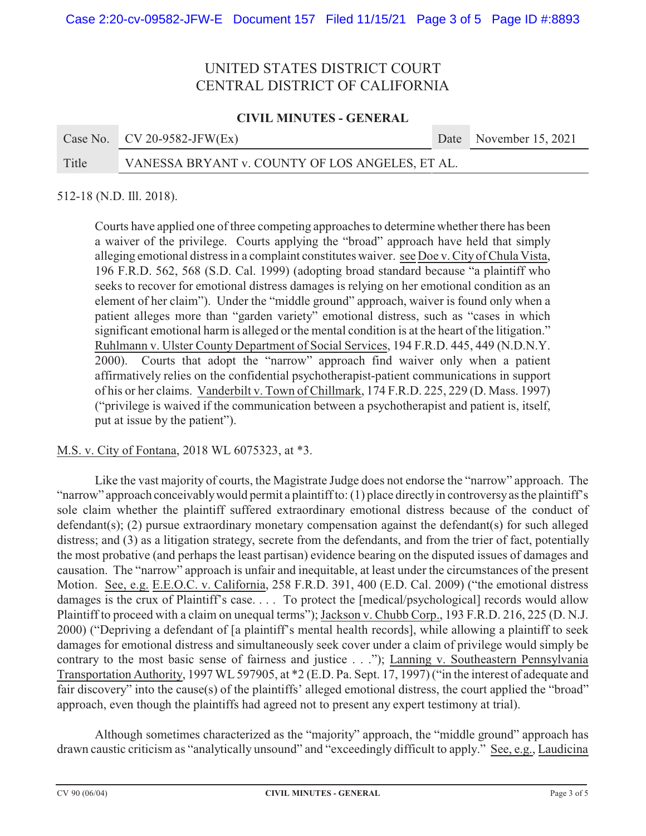## **CIVIL MINUTES - GENERAL**

|       | Case No. $CV 20-9582-JFW(EX)$                   | Date November 15, 2021 |
|-------|-------------------------------------------------|------------------------|
| Title | VANESSA BRYANT v. COUNTY OF LOS ANGELES, ET AL. |                        |

#### 512-18 (N.D. Ill. 2018).

Courts have applied one of three competing approaches to determine whether there has been a waiver of the privilege. Courts applying the "broad" approach have held that simply alleging emotional distress in a complaint constitutes waiver. see Doe v. City of Chula Vista, 196 F.R.D. 562, 568 (S.D. Cal. 1999) (adopting broad standard because "a plaintiff who seeks to recover for emotional distress damages is relying on her emotional condition as an element of her claim"). Under the "middle ground" approach, waiver is found only when a patient alleges more than "garden variety" emotional distress, such as "cases in which significant emotional harm is alleged or the mental condition is at the heart of the litigation." Ruhlmann v. Ulster County Department of Social Services, 194 F.R.D. 445, 449 (N.D.N.Y. 2000). Courts that adopt the "narrow" approach find waiver only when a patient affirmatively relies on the confidential psychotherapist-patient communications in support of his or her claims. Vanderbilt v. Town of Chillmark, 174 F.R.D. 225, 229 (D. Mass. 1997) ("privilege is waived if the communication between a psychotherapist and patient is, itself, put at issue by the patient").

#### M.S. v. City of Fontana, 2018 WL 6075323, at \*3.

Like the vast majority of courts, the Magistrate Judge does not endorse the "narrow" approach. The "narrow" approach conceivably would permit a plaintiff to: (1) place directly in controversy as the plaintiff's sole claim whether the plaintiff suffered extraordinary emotional distress because of the conduct of defendant(s); (2) pursue extraordinary monetary compensation against the defendant(s) for such alleged distress; and (3) as a litigation strategy, secrete from the defendants, and from the trier of fact, potentially the most probative (and perhaps the least partisan) evidence bearing on the disputed issues of damages and causation. The "narrow" approach is unfair and inequitable, at least under the circumstances of the present Motion. See, e.g. E.E.O.C. v. California, 258 F.R.D. 391, 400 (E.D. Cal. 2009) ("the emotional distress damages is the crux of Plaintiff's case. . . . To protect the [medical/psychological] records would allow Plaintiff to proceed with a claim on unequal terms"); Jackson v. Chubb Corp., 193 F.R.D. 216, 225 (D. N.J. 2000) ("Depriving a defendant of [a plaintiff's mental health records], while allowing a plaintiff to seek damages for emotional distress and simultaneously seek cover under a claim of privilege would simply be contrary to the most basic sense of fairness and justice . . ."); Lanning v. Southeastern Pennsylvania Transportation Authority, 1997 WL 597905, at \*2 (E.D. Pa. Sept. 17, 1997) ("in the interest of adequate and fair discovery" into the cause(s) of the plaintiffs' alleged emotional distress, the court applied the "broad" approach, even though the plaintiffs had agreed not to present any expert testimony at trial).

Although sometimes characterized as the "majority" approach, the "middle ground" approach has drawn caustic criticism as "analytically unsound" and "exceedingly difficult to apply." See, e.g., Laudicina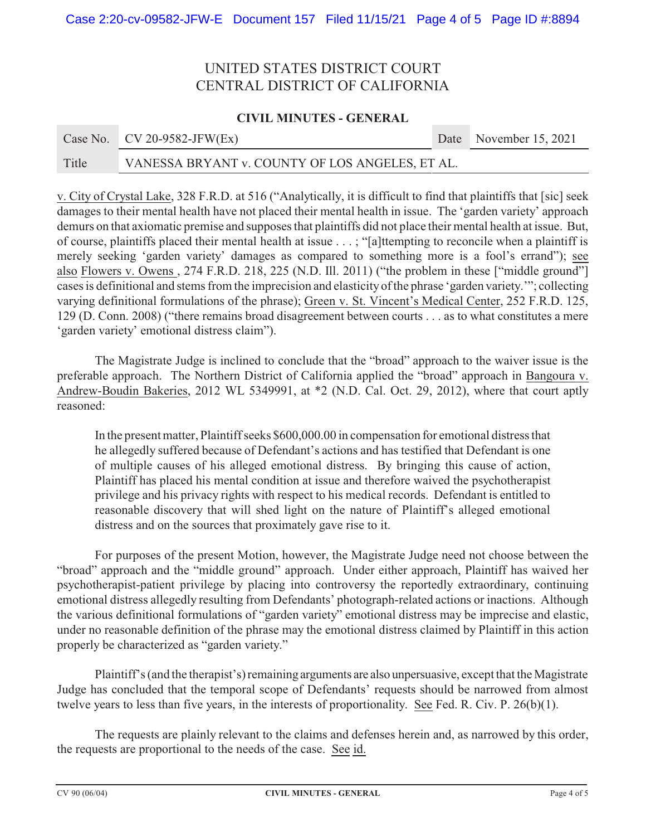## **CIVIL MINUTES - GENERAL**

|       | Case No. $CV 20-9582-JFW(EX)$                   | Date November 15, 2021 |
|-------|-------------------------------------------------|------------------------|
| Title | VANESSA BRYANT v. COUNTY OF LOS ANGELES, ET AL. |                        |

v. City of Crystal Lake, 328 F.R.D. at 516 ("Analytically, it is difficult to find that plaintiffs that [sic] seek damages to their mental health have not placed their mental health in issue. The 'garden variety' approach demurs on that axiomatic premise and supposes that plaintiffs did not place their mental health at issue. But, of course, plaintiffs placed their mental health at issue . . . ; "[a]ttempting to reconcile when a plaintiff is merely seeking 'garden variety' damages as compared to something more is a fool's errand"); see also Flowers v. Owens , 274 F.R.D. 218, 225 (N.D. Ill. 2011) ("the problem in these ["middle ground"] cases is definitional and stems from the imprecision and elasticity of the phrase 'garden variety.'"; collecting varying definitional formulations of the phrase); Green v. St. Vincent's Medical Center, 252 F.R.D. 125, 129 (D. Conn. 2008) ("there remains broad disagreement between courts . . . as to what constitutes a mere 'garden variety' emotional distress claim").

The Magistrate Judge is inclined to conclude that the "broad" approach to the waiver issue is the preferable approach. The Northern District of California applied the "broad" approach in Bangoura v. Andrew-Boudin Bakeries, 2012 WL 5349991, at \*2 (N.D. Cal. Oct. 29, 2012), where that court aptly reasoned:

In the present matter, Plaintiff seeks \$600,000.00 in compensation for emotional distress that he allegedly suffered because of Defendant's actions and has testified that Defendant is one of multiple causes of his alleged emotional distress. By bringing this cause of action, Plaintiff has placed his mental condition at issue and therefore waived the psychotherapist privilege and his privacy rights with respect to his medical records. Defendant is entitled to reasonable discovery that will shed light on the nature of Plaintiff's alleged emotional distress and on the sources that proximately gave rise to it.

For purposes of the present Motion, however, the Magistrate Judge need not choose between the "broad" approach and the "middle ground" approach. Under either approach, Plaintiff has waived her psychotherapist-patient privilege by placing into controversy the reportedly extraordinary, continuing emotional distress allegedly resulting from Defendants' photograph-related actions or inactions. Although the various definitional formulations of "garden variety" emotional distress may be imprecise and elastic, under no reasonable definition of the phrase may the emotional distress claimed by Plaintiff in this action properly be characterized as "garden variety."

Plaintiff's (and the therapist's) remaining arguments are also unpersuasive, except that the Magistrate Judge has concluded that the temporal scope of Defendants' requests should be narrowed from almost twelve years to less than five years, in the interests of proportionality. See Fed. R. Civ. P. 26(b)(1).

The requests are plainly relevant to the claims and defenses herein and, as narrowed by this order, the requests are proportional to the needs of the case. See id.